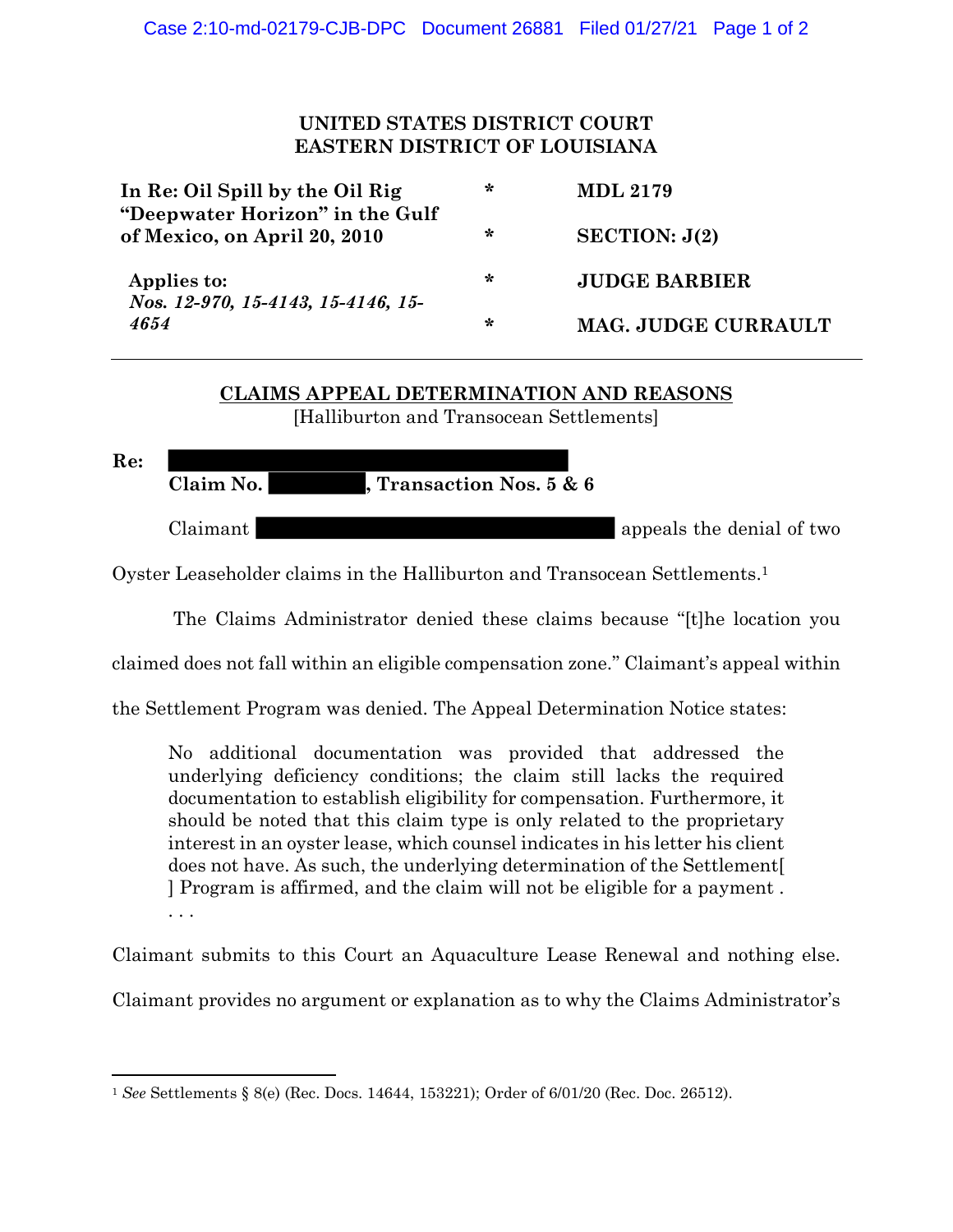## **UNITED STATES DISTRICT COURT EASTERN DISTRICT OF LOUISIANA**

| In Re: Oil Spill by the Oil Rig<br>"Deepwater Horizon" in the Gulf<br>of Mexico, on April 20, 2010 | ∗      | <b>MDL 2179</b>            |
|----------------------------------------------------------------------------------------------------|--------|----------------------------|
|                                                                                                    | ∗      | SECTION: J(2)              |
| Applies to:<br>Nos. 12-970, 15-4143, 15-4146, 15-<br>4654                                          | ∗      | <b>JUDGE BARBIER</b>       |
|                                                                                                    | $\ast$ | <b>MAG. JUDGE CURRAULT</b> |

## **CLAIMS APPEAL DETERMINATION AND REASONS**

[Halliburton and Transocean Settlements]

**Re:**

**Claim No. , Transaction Nos. 5 & 6**

Claimant Claimant appeals the denial of two claimant

Oyster Leaseholder claims in the Halliburton and Transocean Settlements. 1

The Claims Administrator denied these claims because "[t]he location you

claimed does not fall within an eligible compensation zone." Claimant's appeal within

the Settlement Program was denied. The Appeal Determination Notice states:

No additional documentation was provided that addressed the underlying deficiency conditions; the claim still lacks the required documentation to establish eligibility for compensation. Furthermore, it should be noted that this claim type is only related to the proprietary interest in an oyster lease, which counsel indicates in his letter his client does not have. As such, the underlying determination of the Settlement[ ] Program is affirmed, and the claim will not be eligible for a payment . . . .

Claimant submits to this Court an Aquaculture Lease Renewal and nothing else.

Claimant provides no argument or explanation as to why the Claims Administrator's

<sup>1</sup> *See* Settlements § 8(e) (Rec. Docs. 14644, 153221); Order of 6/01/20 (Rec. Doc. 26512).